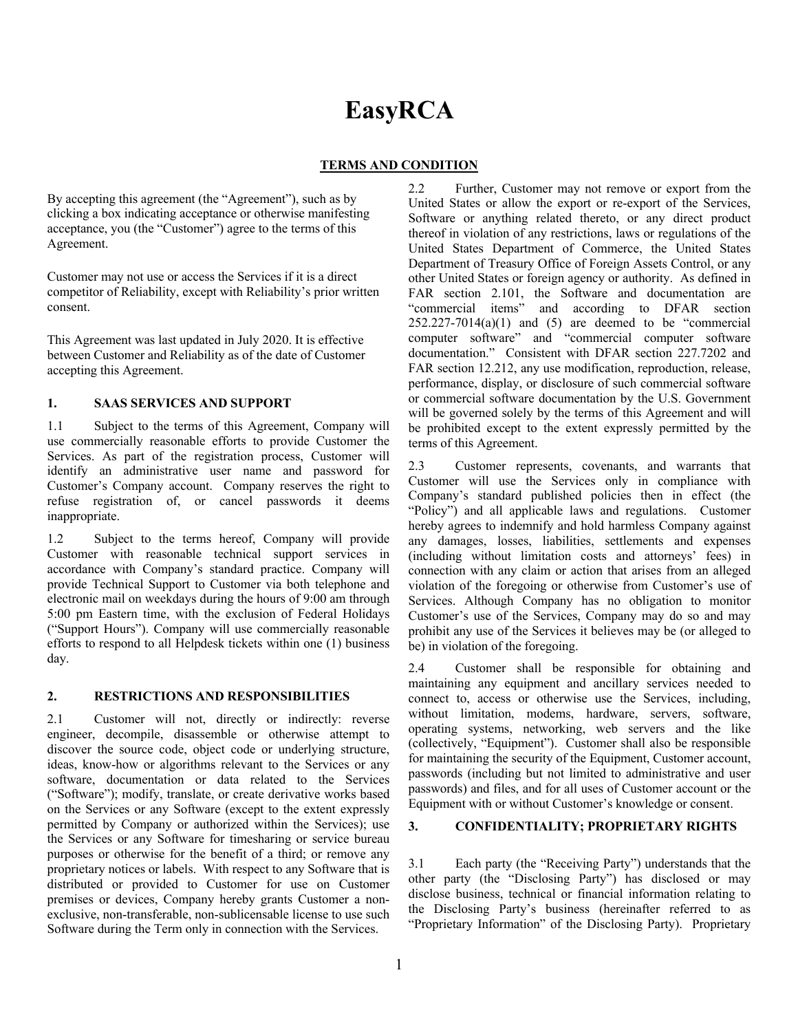# **EasyRCA**

# **TERMS AND CONDITION**

By accepting this agreement (the "Agreement"), such as by clicking a box indicating acceptance or otherwise manifesting acceptance, you (the "Customer") agree to the terms of this Agreement.

Customer may not use or access the Services if it is a direct competitor of Reliability, except with Reliability's prior written consent.

This Agreement was last updated in July 2020. It is effective between Customer and Reliability as of the date of Customer accepting this Agreement.

## **1. SAAS SERVICES AND SUPPORT**

1.1 Subject to the terms of this Agreement, Company will use commercially reasonable efforts to provide Customer the Services. As part of the registration process, Customer will identify an administrative user name and password for Customer's Company account. Company reserves the right to refuse registration of, or cancel passwords it deems inappropriate.

1.2 Subject to the terms hereof, Company will provide Customer with reasonable technical support services in accordance with Company's standard practice. Company will provide Technical Support to Customer via both telephone and electronic mail on weekdays during the hours of 9:00 am through 5:00 pm Eastern time, with the exclusion of Federal Holidays ("Support Hours"). Company will use commercially reasonable efforts to respond to all Helpdesk tickets within one (1) business day.

#### **2. RESTRICTIONS AND RESPONSIBILITIES**

2.1 Customer will not, directly or indirectly: reverse engineer, decompile, disassemble or otherwise attempt to discover the source code, object code or underlying structure, ideas, know-how or algorithms relevant to the Services or any software, documentation or data related to the Services ("Software"); modify, translate, or create derivative works based on the Services or any Software (except to the extent expressly permitted by Company or authorized within the Services); use the Services or any Software for timesharing or service bureau purposes or otherwise for the benefit of a third; or remove any proprietary notices or labels. With respect to any Software that is distributed or provided to Customer for use on Customer premises or devices, Company hereby grants Customer a nonexclusive, non-transferable, non-sublicensable license to use such Software during the Term only in connection with the Services.

2.2 Further, Customer may not remove or export from the United States or allow the export or re-export of the Services, Software or anything related thereto, or any direct product thereof in violation of any restrictions, laws or regulations of the United States Department of Commerce, the United States Department of Treasury Office of Foreign Assets Control, or any other United States or foreign agency or authority. As defined in FAR section 2.101, the Software and documentation are "commercial items" and according to DFAR section  $252.227 - 7014(a)(1)$  and  $(5)$  are deemed to be "commercial computer software" and "commercial computer software documentation." Consistent with DFAR section 227.7202 and FAR section 12.212, any use modification, reproduction, release, performance, display, or disclosure of such commercial software or commercial software documentation by the U.S. Government will be governed solely by the terms of this Agreement and will be prohibited except to the extent expressly permitted by the terms of this Agreement.

2.3 Customer represents, covenants, and warrants that Customer will use the Services only in compliance with Company's standard published policies then in effect (the "Policy") and all applicable laws and regulations. Customer hereby agrees to indemnify and hold harmless Company against any damages, losses, liabilities, settlements and expenses (including without limitation costs and attorneys' fees) in connection with any claim or action that arises from an alleged violation of the foregoing or otherwise from Customer's use of Services. Although Company has no obligation to monitor Customer's use of the Services, Company may do so and may prohibit any use of the Services it believes may be (or alleged to be) in violation of the foregoing.

2.4 Customer shall be responsible for obtaining and maintaining any equipment and ancillary services needed to connect to, access or otherwise use the Services, including, without limitation, modems, hardware, servers, software, operating systems, networking, web servers and the like (collectively, "Equipment"). Customer shall also be responsible for maintaining the security of the Equipment, Customer account, passwords (including but not limited to administrative and user passwords) and files, and for all uses of Customer account or the Equipment with or without Customer's knowledge or consent.

#### **3. CONFIDENTIALITY; PROPRIETARY RIGHTS**

3.1 Each party (the "Receiving Party") understands that the other party (the "Disclosing Party") has disclosed or may disclose business, technical or financial information relating to the Disclosing Party's business (hereinafter referred to as "Proprietary Information" of the Disclosing Party). Proprietary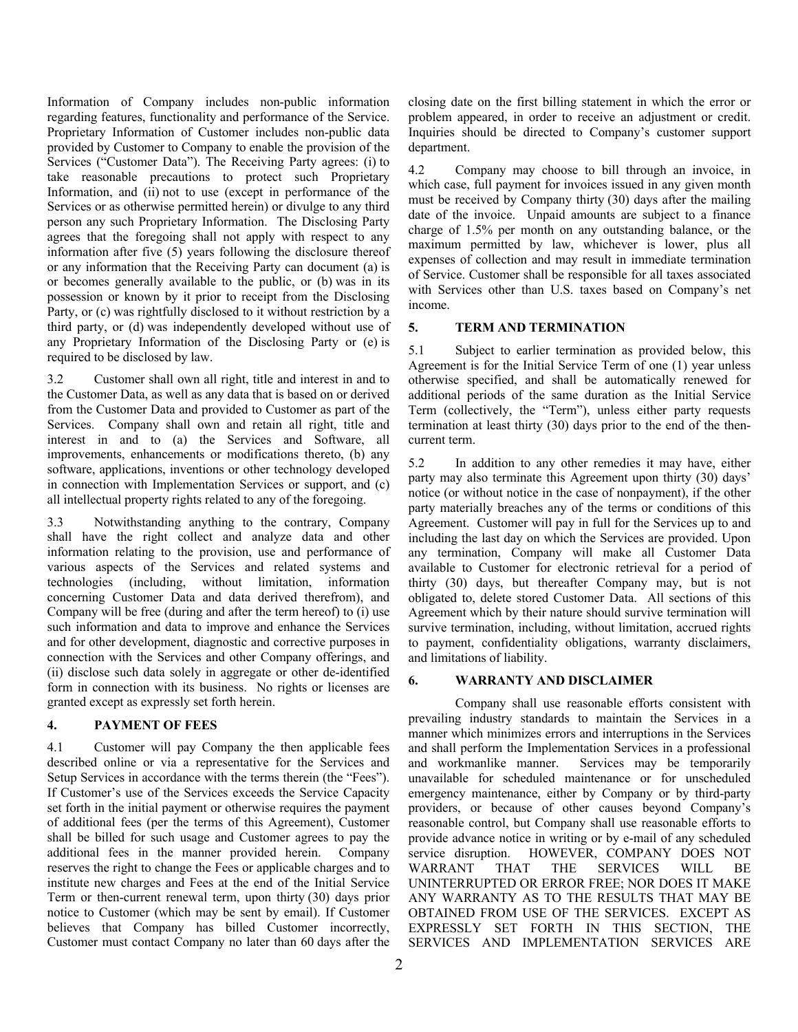Information of Company includes non-public information regarding features, functionality and performance of the Service. Proprietary Information of Customer includes non-public data provided by Customer to Company to enable the provision of the Services ("Customer Data"). The Receiving Party agrees: (i) to take reasonable precautions to protect such Proprietary Information, and (ii) not to use (except in performance of the Services or as otherwise permitted herein) or divulge to any third person any such Proprietary Information. The Disclosing Party agrees that the foregoing shall not apply with respect to any information after five (5) years following the disclosure thereof or any information that the Receiving Party can document (a) is or becomes generally available to the public, or (b) was in its possession or known by it prior to receipt from the Disclosing Party, or (c) was rightfully disclosed to it without restriction by a third party, or (d) was independently developed without use of any Proprietary Information of the Disclosing Party or (e) is required to be disclosed by law.

3.2 Customer shall own all right, title and interest in and to the Customer Data, as well as any data that is based on or derived from the Customer Data and provided to Customer as part of the Services. Company shall own and retain all right, title and interest in and to (a) the Services and Software, all improvements, enhancements or modifications thereto, (b) any software, applications, inventions or other technology developed in connection with Implementation Services or support, and (c) all intellectual property rights related to any of the foregoing.

3.3 Notwithstanding anything to the contrary, Company shall have the right collect and analyze data and other information relating to the provision, use and performance of various aspects of the Services and related systems and technologies (including, without limitation, information concerning Customer Data and data derived therefrom), and Company will be free (during and after the term hereof) to (i) use such information and data to improve and enhance the Services and for other development, diagnostic and corrective purposes in connection with the Services and other Company offerings, and (ii) disclose such data solely in aggregate or other de-identified form in connection with its business. No rights or licenses are granted except as expressly set forth herein.

## **4. PAYMENT OF FEES**

4.1 Customer will pay Company the then applicable fees described online or via a representative for the Services and Setup Services in accordance with the terms therein (the "Fees"). If Customer's use of the Services exceeds the Service Capacity set forth in the initial payment or otherwise requires the payment of additional fees (per the terms of this Agreement), Customer shall be billed for such usage and Customer agrees to pay the additional fees in the manner provided herein. Company reserves the right to change the Fees or applicable charges and to institute new charges and Fees at the end of the Initial Service Term or then-current renewal term, upon thirty (30) days prior notice to Customer (which may be sent by email). If Customer believes that Company has billed Customer incorrectly, Customer must contact Company no later than 60 days after the

closing date on the first billing statement in which the error or problem appeared, in order to receive an adjustment or credit. Inquiries should be directed to Company's customer support department.

4.2 Company may choose to bill through an invoice, in which case, full payment for invoices issued in any given month must be received by Company thirty (30) days after the mailing date of the invoice. Unpaid amounts are subject to a finance charge of 1.5% per month on any outstanding balance, or the maximum permitted by law, whichever is lower, plus all expenses of collection and may result in immediate termination of Service. Customer shall be responsible for all taxes associated with Services other than U.S. taxes based on Company's net income.

## **5. TERM AND TERMINATION**

5.1 Subject to earlier termination as provided below, this Agreement is for the Initial Service Term of one (1) year unless otherwise specified, and shall be automatically renewed for additional periods of the same duration as the Initial Service Term (collectively, the "Term"), unless either party requests termination at least thirty (30) days prior to the end of the thencurrent term.

5.2 In addition to any other remedies it may have, either party may also terminate this Agreement upon thirty (30) days' notice (or without notice in the case of nonpayment), if the other party materially breaches any of the terms or conditions of this Agreement. Customer will pay in full for the Services up to and including the last day on which the Services are provided. Upon any termination, Company will make all Customer Data available to Customer for electronic retrieval for a period of thirty (30) days, but thereafter Company may, but is not obligated to, delete stored Customer Data. All sections of this Agreement which by their nature should survive termination will survive termination, including, without limitation, accrued rights to payment, confidentiality obligations, warranty disclaimers, and limitations of liability.

# **6. WARRANTY AND DISCLAIMER**

Company shall use reasonable efforts consistent with prevailing industry standards to maintain the Services in a manner which minimizes errors and interruptions in the Services and shall perform the Implementation Services in a professional and workmanlike manner. Services may be temporarily unavailable for scheduled maintenance or for unscheduled emergency maintenance, either by Company or by third-party providers, or because of other causes beyond Company's reasonable control, but Company shall use reasonable efforts to provide advance notice in writing or by e-mail of any scheduled service disruption. HOWEVER, COMPANY DOES NOT WARRANT THAT THE SERVICES WILL BE UNINTERRUPTED OR ERROR FREE; NOR DOES IT MAKE ANY WARRANTY AS TO THE RESULTS THAT MAY BE OBTAINED FROM USE OF THE SERVICES.EXCEPT AS EXPRESSLY SET FORTH IN THIS SECTION, THE SERVICES AND IMPLEMENTATION SERVICES ARE